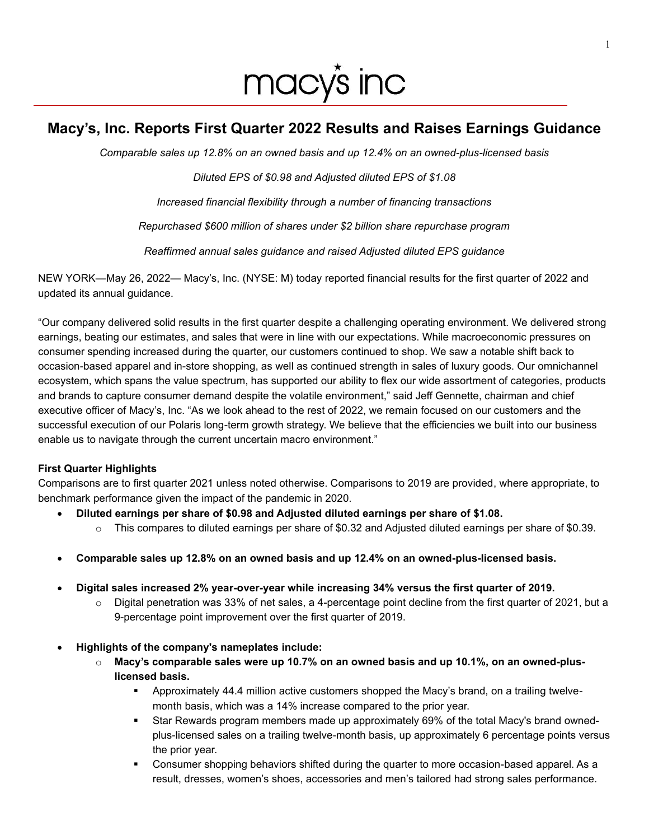# macy's inc

# **Macy's, Inc. Reports First Quarter 2022 Results and Raises Earnings Guidance**

*Comparable sales up 12.8% on an owned basis and up 12.4% on an owned-plus-licensed basis* 

*Diluted EPS of \$0.98 and Adjusted diluted EPS of \$1.08*

*Increased financial flexibility through a number of financing transactions*

*Repurchased \$600 million of shares under \$2 billion share repurchase program* 

*Reaffirmed annual sales guidance and raised Adjusted diluted EPS guidance* 

NEW YORK—May 26, 2022— Macy's, Inc. (NYSE: M) today reported financial results for the first quarter of 2022 and updated its annual guidance.

"Our company delivered solid results in the first quarter despite a challenging operating environment. We delivered strong earnings, beating our estimates, and sales that were in line with our expectations. While macroeconomic pressures on consumer spending increased during the quarter, our customers continued to shop. We saw a notable shift back to occasion-based apparel and in-store shopping, as well as continued strength in sales of luxury goods. Our omnichannel ecosystem, which spans the value spectrum, has supported our ability to flex our wide assortment of categories, products and brands to capture consumer demand despite the volatile environment," said Jeff Gennette, chairman and chief executive officer of Macy's, Inc. "As we look ahead to the rest of 2022, we remain focused on our customers and the successful execution of our Polaris long-term growth strategy. We believe that the efficiencies we built into our business enable us to navigate through the current uncertain macro environment."

## **First Quarter Highlights**

Comparisons are to first quarter 2021 unless noted otherwise. Comparisons to 2019 are provided, where appropriate, to benchmark performance given the impact of the pandemic in 2020.

- **Diluted earnings per share of \$0.98 and Adjusted diluted earnings per share of \$1.08.** 
	- $\circ$  This compares to diluted earnings per share of \$0.32 and Adjusted diluted earnings per share of \$0.39.
- **Comparable sales up 12.8% on an owned basis and up 12.4% on an owned-plus-licensed basis.**
- **Digital sales increased 2% year-over-year while increasing 34% versus the first quarter of 2019.**
	- $\circ$  Digital penetration was 33% of net sales, a 4-percentage point decline from the first quarter of 2021, but a 9-percentage point improvement over the first quarter of 2019.
- **Highlights of the company's nameplates include:** 
	- o **Macy's comparable sales were up 10.7% on an owned basis and up 10.1%, on an owned-pluslicensed basis.**
		- Approximately 44.4 million active customers shopped the Macy's brand, on a trailing twelvemonth basis, which was a 14% increase compared to the prior year.
		- Star Rewards program members made up approximately 69% of the total Macy's brand ownedplus-licensed sales on a trailing twelve-month basis, up approximately 6 percentage points versus the prior year.
		- Consumer shopping behaviors shifted during the quarter to more occasion-based apparel. As a result, dresses, women's shoes, accessories and men's tailored had strong sales performance.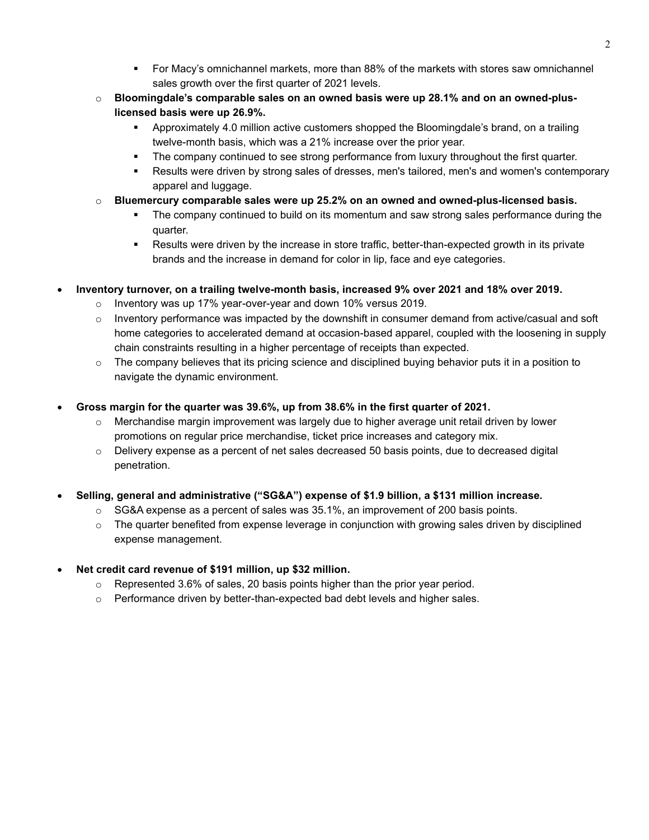- For Macy's omnichannel markets, more than 88% of the markets with stores saw omnichannel sales growth over the first quarter of 2021 levels.
- o **Bloomingdale's comparable sales on an owned basis were up 28.1% and on an owned-pluslicensed basis were up 26.9%.**
	- Approximately 4.0 million active customers shopped the Bloomingdale's brand, on a trailing twelve-month basis, which was a 21% increase over the prior year.
	- **•** The company continued to see strong performance from luxury throughout the first quarter.
	- Results were driven by strong sales of dresses, men's tailored, men's and women's contemporary apparel and luggage.
- o **Bluemercury comparable sales were up 25.2% on an owned and owned-plus-licensed basis.** 
	- The company continued to build on its momentum and saw strong sales performance during the quarter.
	- Results were driven by the increase in store traffic, better-than-expected growth in its private brands and the increase in demand for color in lip, face and eye categories.
- **Inventory turnover, on a trailing twelve-month basis, increased 9% over 2021 and 18% over 2019.** 
	- o Inventory was up 17% year-over-year and down 10% versus 2019.
	- $\circ$  Inventory performance was impacted by the downshift in consumer demand from active/casual and soft home categories to accelerated demand at occasion-based apparel, coupled with the loosening in supply chain constraints resulting in a higher percentage of receipts than expected.
	- $\circ$  The company believes that its pricing science and disciplined buying behavior puts it in a position to navigate the dynamic environment.
- **Gross margin for the quarter was 39.6%, up from 38.6% in the first quarter of 2021.**
	- Merchandise margin improvement was largely due to higher average unit retail driven by lower promotions on regular price merchandise, ticket price increases and category mix.
	- $\circ$  Delivery expense as a percent of net sales decreased 50 basis points, due to decreased digital penetration.
- **Selling, general and administrative ("SG&A") expense of \$1.9 billion, a \$131 million increase.** 
	- $\circ$  SG&A expense as a percent of sales was 35.1%, an improvement of 200 basis points.
	- $\circ$  The quarter benefited from expense leverage in conjunction with growing sales driven by disciplined expense management.
- **Net credit card revenue of \$191 million, up \$32 million.** 
	- $\circ$  Represented 3.6% of sales, 20 basis points higher than the prior year period.
	- $\circ$  Performance driven by better-than-expected bad debt levels and higher sales.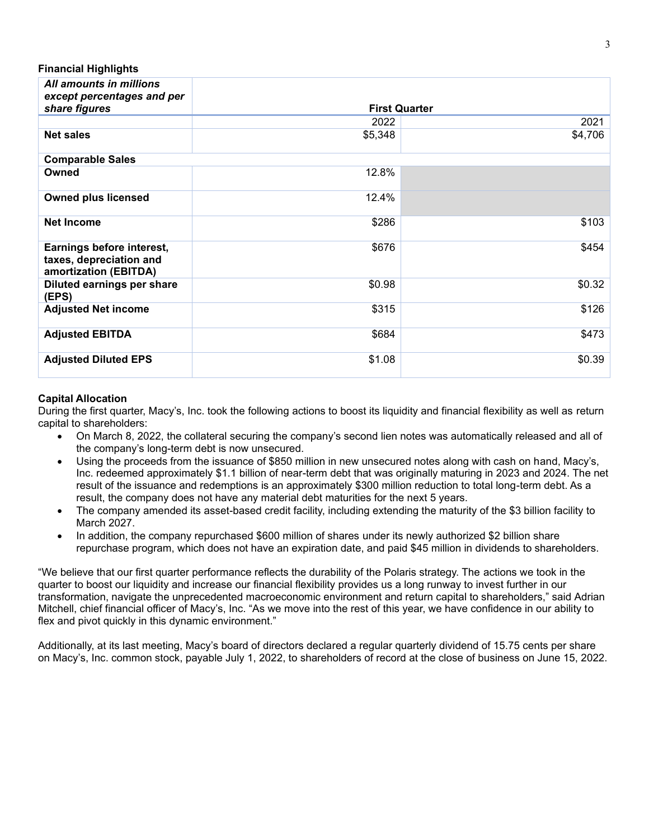**Financial Highlights**

| All amounts in millions<br>except percentages and per                         |         |                      |
|-------------------------------------------------------------------------------|---------|----------------------|
| share figures                                                                 |         | <b>First Quarter</b> |
|                                                                               | 2022    | 2021                 |
| <b>Net sales</b>                                                              | \$5,348 | \$4,706              |
| <b>Comparable Sales</b>                                                       |         |                      |
| Owned                                                                         | 12.8%   |                      |
| <b>Owned plus licensed</b>                                                    | 12.4%   |                      |
| <b>Net Income</b>                                                             | \$286   | \$103                |
| Earnings before interest,<br>taxes, depreciation and<br>amortization (EBITDA) | \$676   | \$454                |
| Diluted earnings per share<br>(EPS)                                           | \$0.98  | \$0.32               |
| <b>Adjusted Net income</b>                                                    | \$315   | \$126                |
| <b>Adjusted EBITDA</b>                                                        | \$684   | \$473                |
| <b>Adjusted Diluted EPS</b>                                                   | \$1.08  | \$0.39               |

#### **Capital Allocation**

During the first quarter, Macy's, Inc. took the following actions to boost its liquidity and financial flexibility as well as return capital to shareholders:

- On March 8, 2022, the collateral securing the company's second lien notes was automatically released and all of the company's long-term debt is now unsecured.
- Using the proceeds from the issuance of \$850 million in new unsecured notes along with cash on hand, Macy's, Inc. redeemed approximately \$1.1 billion of near-term debt that was originally maturing in 2023 and 2024. The net result of the issuance and redemptions is an approximately \$300 million reduction to total long-term debt. As a result, the company does not have any material debt maturities for the next 5 years.
- The company amended its asset-based credit facility, including extending the maturity of the \$3 billion facility to March 2027.
- In addition, the company repurchased \$600 million of shares under its newly authorized \$2 billion share repurchase program, which does not have an expiration date, and paid \$45 million in dividends to shareholders.

"We believe that our first quarter performance reflects the durability of the Polaris strategy. The actions we took in the quarter to boost our liquidity and increase our financial flexibility provides us a long runway to invest further in our transformation, navigate the unprecedented macroeconomic environment and return capital to shareholders," said Adrian Mitchell, chief financial officer of Macy's, Inc. "As we move into the rest of this year, we have confidence in our ability to flex and pivot quickly in this dynamic environment."

Additionally, at its last meeting, Macy's board of directors declared a regular quarterly dividend of 15.75 cents per share on Macy's, Inc. common stock, payable July 1, 2022, to shareholders of record at the close of business on June 15, 2022.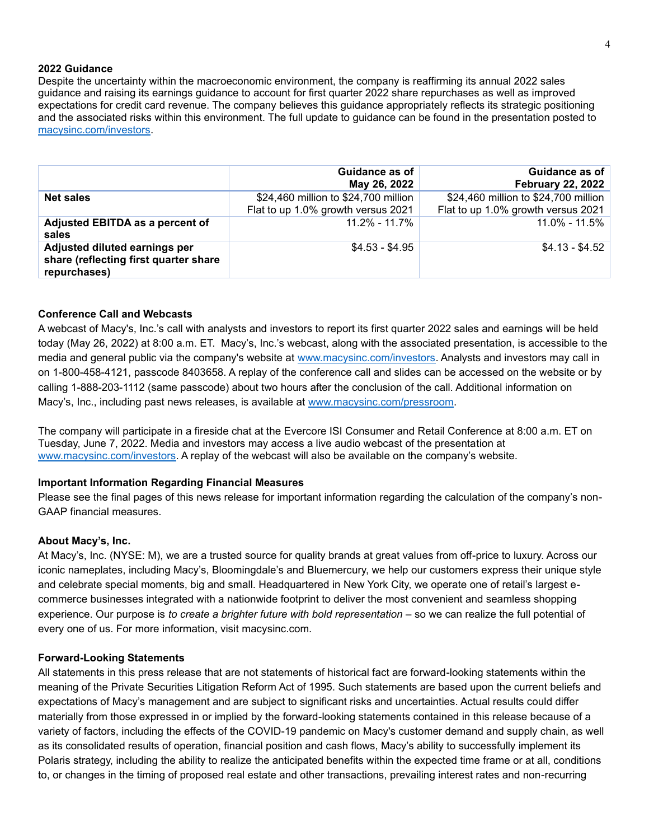#### **2022 Guidance**

Despite the uncertainty within the macroeconomic environment, the company is reaffirming its annual 2022 sales guidance and raising its earnings guidance to account for first quarter 2022 share repurchases as well as improved expectations for credit card revenue. The company believes this guidance appropriately reflects its strategic positioning and the associated risks within this environment. The full update to guidance can be found in the presentation posted to [macysinc.com/investors.](https://www.macysinc.com/investors)

|                                                                                        | Guidance as of<br>May 26, 2022                                             | Guidance as of<br><b>February 22, 2022</b>                                 |
|----------------------------------------------------------------------------------------|----------------------------------------------------------------------------|----------------------------------------------------------------------------|
| <b>Net sales</b>                                                                       | \$24,460 million to \$24,700 million<br>Flat to up 1.0% growth versus 2021 | \$24,460 million to \$24,700 million<br>Flat to up 1.0% growth versus 2021 |
| Adjusted EBITDA as a percent of<br>sales                                               | $11.2\% - 11.7\%$                                                          | 11.0% - 11.5%                                                              |
| Adjusted diluted earnings per<br>share (reflecting first quarter share<br>repurchases) | $$4.53 - $4.95$                                                            | $$4.13 - $4.52$                                                            |

#### **Conference Call and Webcasts**

A webcast of Macy's, Inc.'s call with analysts and investors to report its first quarter 2022 sales and earnings will be held today (May 26, 2022) at 8:00 a.m. ET. Macy's, Inc.'s webcast, along with the associated presentation, is accessible to the media and general public via the company's website at [www.macysinc.com/investors.](https://www.macysinc.com/investors) Analysts and investors may call in on 1-800-458-4121, passcode 8403658. A replay of the conference call and slides can be accessed on the website or by calling 1-888-203-1112 (same passcode) about two hours after the conclusion of the call. Additional information on Macy's, Inc., including past news releases, is available at [www.macysinc.com/pressroom.](https://www.macysinc.com/news-media)

The company will participate in a fireside chat at the Evercore ISI Consumer and Retail Conference at 8:00 a.m. ET on Tuesday, June 7, 2022. Media and investors may access a live audio webcast of the presentation at [www.macysinc.com/investors.](http://www.macysinc.com/investors) A replay of the webcast will also be available on the company's website.

#### **Important Information Regarding Financial Measures**

Please see the final pages of this news release for important information regarding the calculation of the company's non-GAAP financial measures.

#### **About Macy's, Inc.**

At Macy's, Inc. (NYSE: M), we are a trusted source for quality brands at great values from off-price to luxury. Across our iconic nameplates, including Macy's, Bloomingdale's and Bluemercury, we help our customers express their unique style and celebrate special moments, big and small. Headquartered in New York City, we operate one of retail's largest ecommerce businesses integrated with a nationwide footprint to deliver the most convenient and seamless shopping experience. Our purpose is *to create a brighter future with bold representation* – so we can realize the full potential of every one of us. For more information, visit macysinc.com.

#### **Forward-Looking Statements**

All statements in this press release that are not statements of historical fact are forward-looking statements within the meaning of the Private Securities Litigation Reform Act of 1995. Such statements are based upon the current beliefs and expectations of Macy's management and are subject to significant risks and uncertainties. Actual results could differ materially from those expressed in or implied by the forward-looking statements contained in this release because of a variety of factors, including the effects of the COVID-19 pandemic on Macy's customer demand and supply chain, as well as its consolidated results of operation, financial position and cash flows, Macy's ability to successfully implement its Polaris strategy, including the ability to realize the anticipated benefits within the expected time frame or at all, conditions to, or changes in the timing of proposed real estate and other transactions, prevailing interest rates and non-recurring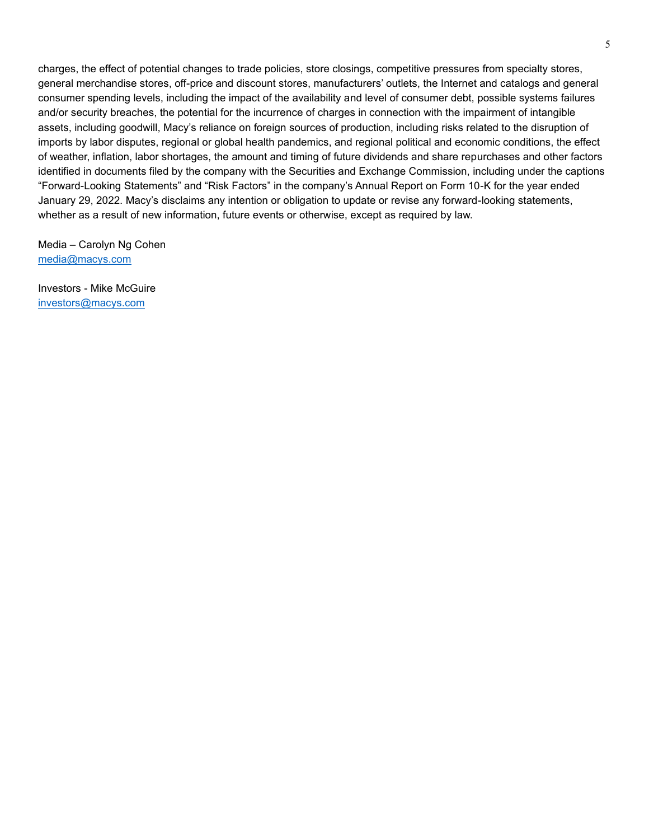charges, the effect of potential changes to trade policies, store closings, competitive pressures from specialty stores, general merchandise stores, off-price and discount stores, manufacturers' outlets, the Internet and catalogs and general consumer spending levels, including the impact of the availability and level of consumer debt, possible systems failures and/or security breaches, the potential for the incurrence of charges in connection with the impairment of intangible assets, including goodwill, Macy's reliance on foreign sources of production, including risks related to the disruption of imports by labor disputes, regional or global health pandemics, and regional political and economic conditions, the effect of weather, inflation, labor shortages, the amount and timing of future dividends and share repurchases and other factors identified in documents filed by the company with the Securities and Exchange Commission, including under the captions "Forward-Looking Statements" and "Risk Factors" in the company's Annual Report on Form 10-K for the year ended January 29, 2022. Macy's disclaims any intention or obligation to update or revise any forward-looking statements, whether as a result of new information, future events or otherwise, except as required by law.

Media – Carolyn Ng Cohen [media@macys.com](mailto:media@macys.com)

Investors - Mike McGuire [investors@macys.com](mailto:investors@macys.com)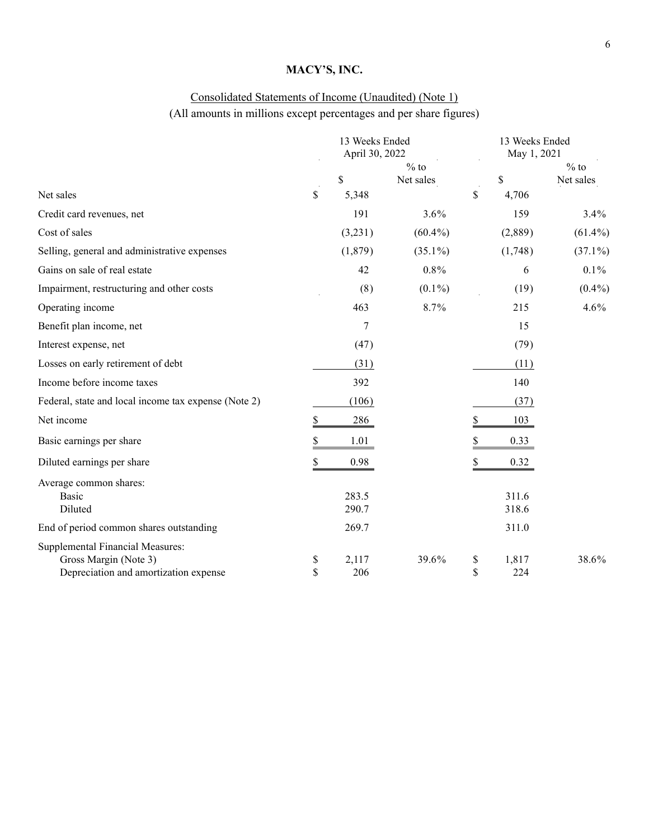# Consolidated Statements of Income (Unaudited) (Note 1)

# (All amounts in millions except percentages and per share figures)

|                                                                                                           | 13 Weeks Ended<br>April 30, 2022 |                |                     | 13 Weeks Ended<br>May 1, 2021 |                |                     |  |
|-----------------------------------------------------------------------------------------------------------|----------------------------------|----------------|---------------------|-------------------------------|----------------|---------------------|--|
|                                                                                                           |                                  | \$             | $%$ to<br>Net sales |                               | \$             | $%$ to<br>Net sales |  |
| Net sales                                                                                                 | \$                               | 5,348          |                     | \$                            | 4,706          |                     |  |
| Credit card revenues, net                                                                                 |                                  | 191            | 3.6%                |                               | 159            | 3.4%                |  |
| Cost of sales                                                                                             |                                  | (3,231)        | $(60.4\%)$          |                               | (2,889)        | $(61.4\%)$          |  |
| Selling, general and administrative expenses                                                              |                                  | (1,879)        | $(35.1\%)$          |                               | (1,748)        | $(37.1\%)$          |  |
| Gains on sale of real estate                                                                              |                                  | 42             | $0.8\%$             |                               | 6              | $0.1\%$             |  |
| Impairment, restructuring and other costs                                                                 |                                  | (8)            | $(0.1\%)$           |                               | (19)           | $(0.4\%)$           |  |
| Operating income                                                                                          |                                  | 463            | 8.7%                |                               | 215            | 4.6%                |  |
| Benefit plan income, net                                                                                  |                                  | 7              |                     |                               | 15             |                     |  |
| Interest expense, net                                                                                     |                                  | (47)           |                     |                               | (79)           |                     |  |
| Losses on early retirement of debt                                                                        |                                  | (31)           |                     |                               | (11)           |                     |  |
| Income before income taxes                                                                                |                                  | 392            |                     |                               | 140            |                     |  |
| Federal, state and local income tax expense (Note 2)                                                      |                                  | (106)          |                     |                               | (37)           |                     |  |
| Net income                                                                                                | $\frac{1}{2}$                    | 286            |                     | \$                            | 103            |                     |  |
| Basic earnings per share                                                                                  | \$                               | 1.01           |                     |                               | 0.33           |                     |  |
| Diluted earnings per share                                                                                | \$                               | 0.98           |                     |                               | 0.32           |                     |  |
| Average common shares:<br><b>Basic</b><br>Diluted                                                         |                                  | 283.5<br>290.7 |                     |                               | 311.6<br>318.6 |                     |  |
| End of period common shares outstanding                                                                   |                                  | 269.7          |                     |                               | 311.0          |                     |  |
| <b>Supplemental Financial Measures:</b><br>Gross Margin (Note 3)<br>Depreciation and amortization expense | \$<br>\$                         | 2,117<br>206   | 39.6%               | \$<br>\$                      | 1,817<br>224   | 38.6%               |  |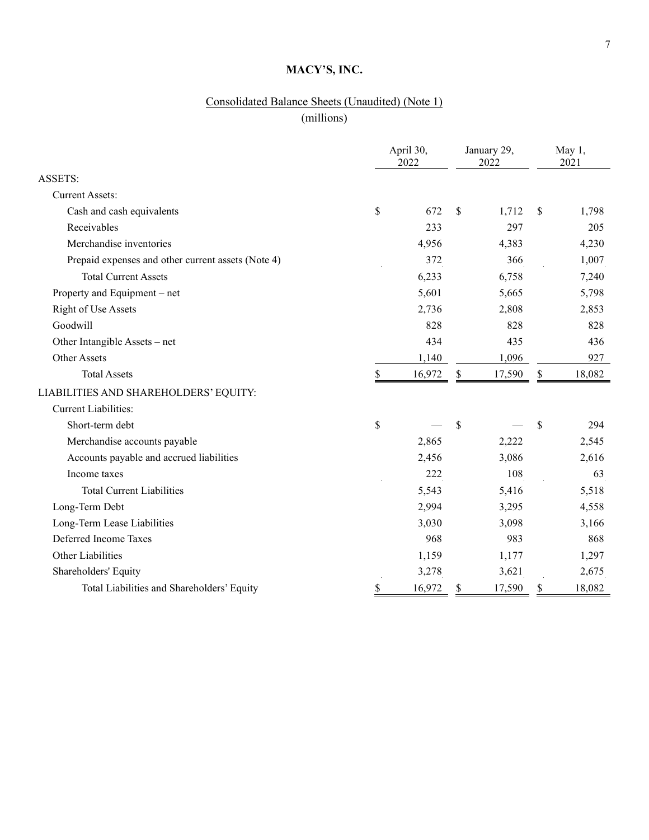# Consolidated Balance Sheets (Unaudited) (Note 1)

(millions)

|                                                    |                  | April 30,<br>2022 | January 29,<br>2022 | May 1,<br>2021 |
|----------------------------------------------------|------------------|-------------------|---------------------|----------------|
| ASSETS:                                            |                  |                   |                     |                |
| <b>Current Assets:</b>                             |                  |                   |                     |                |
| Cash and cash equivalents                          | \$               | 672               | \$<br>1,712         | \$<br>1,798    |
| Receivables                                        |                  | 233               | 297                 | 205            |
| Merchandise inventories                            |                  | 4,956             | 4,383               | 4,230          |
| Prepaid expenses and other current assets (Note 4) |                  | 372               | 366                 | 1,007          |
| <b>Total Current Assets</b>                        |                  | 6,233             | 6,758               | 7,240          |
| Property and Equipment - net                       |                  | 5,601             | 5,665               | 5,798          |
| Right of Use Assets                                |                  | 2,736             | 2,808               | 2,853          |
| Goodwill                                           |                  | 828               | 828                 | 828            |
| Other Intangible Assets – net                      |                  | 434               | 435                 | 436            |
| <b>Other Assets</b>                                |                  | 1,140             | 1,096               | 927            |
| <b>Total Assets</b>                                | $\underline{\$}$ | 16,972            | \$<br>17,590        | \$<br>18,082   |
| LIABILITIES AND SHAREHOLDERS' EQUITY:              |                  |                   |                     |                |
| <b>Current Liabilities:</b>                        |                  |                   |                     |                |
| Short-term debt                                    | \$               |                   | \$                  | \$<br>294      |
| Merchandise accounts payable                       |                  | 2,865             | 2,222               | 2,545          |
| Accounts payable and accrued liabilities           |                  | 2,456             | 3,086               | 2,616          |
| Income taxes                                       |                  | 222               | 108                 | 63             |
| <b>Total Current Liabilities</b>                   |                  | 5,543             | 5,416               | 5,518          |
| Long-Term Debt                                     |                  | 2,994             | 3,295               | 4,558          |
| Long-Term Lease Liabilities                        |                  | 3,030             | 3,098               | 3,166          |
| Deferred Income Taxes                              |                  | 968               | 983                 | 868            |
| Other Liabilities                                  |                  | 1,159             | 1,177               | 1,297          |
| Shareholders' Equity                               |                  | 3,278             | 3,621               | 2,675          |
| Total Liabilities and Shareholders' Equity         | \$               | 16,972            | \$<br>17,590        | \$<br>18,082   |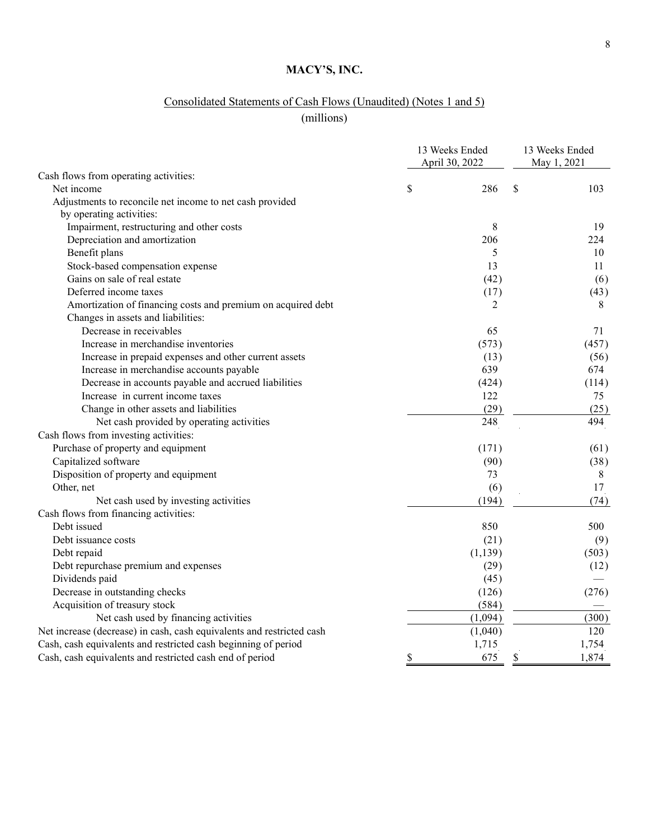# Consolidated Statements of Cash Flows (Unaudited) (Notes 1 and 5)

(millions)

| Cash flows from operating activities:<br>\$<br>\$<br>Net income<br>286<br>103<br>Adjustments to reconcile net income to net cash provided<br>by operating activities:<br>Impairment, restructuring and other costs<br>8<br>19<br>Depreciation and amortization<br>206<br>224<br>Benefit plans<br>5<br>10<br>Stock-based compensation expense<br>13<br>11<br>Gains on sale of real estate<br>(42)<br>(6)<br>Deferred income taxes<br>(17)<br>(43)<br>Amortization of financing costs and premium on acquired debt<br>2<br>8<br>Changes in assets and liabilities:<br>Decrease in receivables<br>65<br>71<br>Increase in merchandise inventories<br>(573)<br>(457)<br>Increase in prepaid expenses and other current assets<br>(13)<br>(56) |
|-------------------------------------------------------------------------------------------------------------------------------------------------------------------------------------------------------------------------------------------------------------------------------------------------------------------------------------------------------------------------------------------------------------------------------------------------------------------------------------------------------------------------------------------------------------------------------------------------------------------------------------------------------------------------------------------------------------------------------------------|
|                                                                                                                                                                                                                                                                                                                                                                                                                                                                                                                                                                                                                                                                                                                                           |
|                                                                                                                                                                                                                                                                                                                                                                                                                                                                                                                                                                                                                                                                                                                                           |
|                                                                                                                                                                                                                                                                                                                                                                                                                                                                                                                                                                                                                                                                                                                                           |
|                                                                                                                                                                                                                                                                                                                                                                                                                                                                                                                                                                                                                                                                                                                                           |
|                                                                                                                                                                                                                                                                                                                                                                                                                                                                                                                                                                                                                                                                                                                                           |
|                                                                                                                                                                                                                                                                                                                                                                                                                                                                                                                                                                                                                                                                                                                                           |
|                                                                                                                                                                                                                                                                                                                                                                                                                                                                                                                                                                                                                                                                                                                                           |
|                                                                                                                                                                                                                                                                                                                                                                                                                                                                                                                                                                                                                                                                                                                                           |
|                                                                                                                                                                                                                                                                                                                                                                                                                                                                                                                                                                                                                                                                                                                                           |
|                                                                                                                                                                                                                                                                                                                                                                                                                                                                                                                                                                                                                                                                                                                                           |
|                                                                                                                                                                                                                                                                                                                                                                                                                                                                                                                                                                                                                                                                                                                                           |
|                                                                                                                                                                                                                                                                                                                                                                                                                                                                                                                                                                                                                                                                                                                                           |
|                                                                                                                                                                                                                                                                                                                                                                                                                                                                                                                                                                                                                                                                                                                                           |
|                                                                                                                                                                                                                                                                                                                                                                                                                                                                                                                                                                                                                                                                                                                                           |
|                                                                                                                                                                                                                                                                                                                                                                                                                                                                                                                                                                                                                                                                                                                                           |
| Increase in merchandise accounts payable<br>639<br>674                                                                                                                                                                                                                                                                                                                                                                                                                                                                                                                                                                                                                                                                                    |
| Decrease in accounts payable and accrued liabilities<br>(424)<br>(114)                                                                                                                                                                                                                                                                                                                                                                                                                                                                                                                                                                                                                                                                    |
| Increase in current income taxes<br>122<br>75                                                                                                                                                                                                                                                                                                                                                                                                                                                                                                                                                                                                                                                                                             |
| Change in other assets and liabilities<br>(29)<br>(25)                                                                                                                                                                                                                                                                                                                                                                                                                                                                                                                                                                                                                                                                                    |
| 248<br>494<br>Net cash provided by operating activities                                                                                                                                                                                                                                                                                                                                                                                                                                                                                                                                                                                                                                                                                   |
| Cash flows from investing activities:                                                                                                                                                                                                                                                                                                                                                                                                                                                                                                                                                                                                                                                                                                     |
| Purchase of property and equipment<br>(171)<br>(61)                                                                                                                                                                                                                                                                                                                                                                                                                                                                                                                                                                                                                                                                                       |
| Capitalized software<br>(90)<br>(38)                                                                                                                                                                                                                                                                                                                                                                                                                                                                                                                                                                                                                                                                                                      |
| Disposition of property and equipment<br>73<br>8                                                                                                                                                                                                                                                                                                                                                                                                                                                                                                                                                                                                                                                                                          |
| Other, net<br>17<br>(6)                                                                                                                                                                                                                                                                                                                                                                                                                                                                                                                                                                                                                                                                                                                   |
| (194)<br>(74)<br>Net cash used by investing activities                                                                                                                                                                                                                                                                                                                                                                                                                                                                                                                                                                                                                                                                                    |
| Cash flows from financing activities:                                                                                                                                                                                                                                                                                                                                                                                                                                                                                                                                                                                                                                                                                                     |
| Debt issued<br>850<br>500                                                                                                                                                                                                                                                                                                                                                                                                                                                                                                                                                                                                                                                                                                                 |
| Debt issuance costs<br>(21)<br>(9)                                                                                                                                                                                                                                                                                                                                                                                                                                                                                                                                                                                                                                                                                                        |
| (1, 139)<br>(503)<br>Debt repaid                                                                                                                                                                                                                                                                                                                                                                                                                                                                                                                                                                                                                                                                                                          |
| Debt repurchase premium and expenses<br>(29)<br>(12)                                                                                                                                                                                                                                                                                                                                                                                                                                                                                                                                                                                                                                                                                      |
| Dividends paid<br>(45)                                                                                                                                                                                                                                                                                                                                                                                                                                                                                                                                                                                                                                                                                                                    |
| Decrease in outstanding checks<br>(276)<br>(126)                                                                                                                                                                                                                                                                                                                                                                                                                                                                                                                                                                                                                                                                                          |
| Acquisition of treasury stock<br>(584)                                                                                                                                                                                                                                                                                                                                                                                                                                                                                                                                                                                                                                                                                                    |
| Net cash used by financing activities<br>(1,094)<br>(300)                                                                                                                                                                                                                                                                                                                                                                                                                                                                                                                                                                                                                                                                                 |
| Net increase (decrease) in cash, cash equivalents and restricted cash<br>120<br>(1,040)                                                                                                                                                                                                                                                                                                                                                                                                                                                                                                                                                                                                                                                   |
| Cash, cash equivalents and restricted cash beginning of period<br>1,715<br>1,754                                                                                                                                                                                                                                                                                                                                                                                                                                                                                                                                                                                                                                                          |
| \$<br>675<br>Cash, cash equivalents and restricted cash end of period<br>\$<br>1,874                                                                                                                                                                                                                                                                                                                                                                                                                                                                                                                                                                                                                                                      |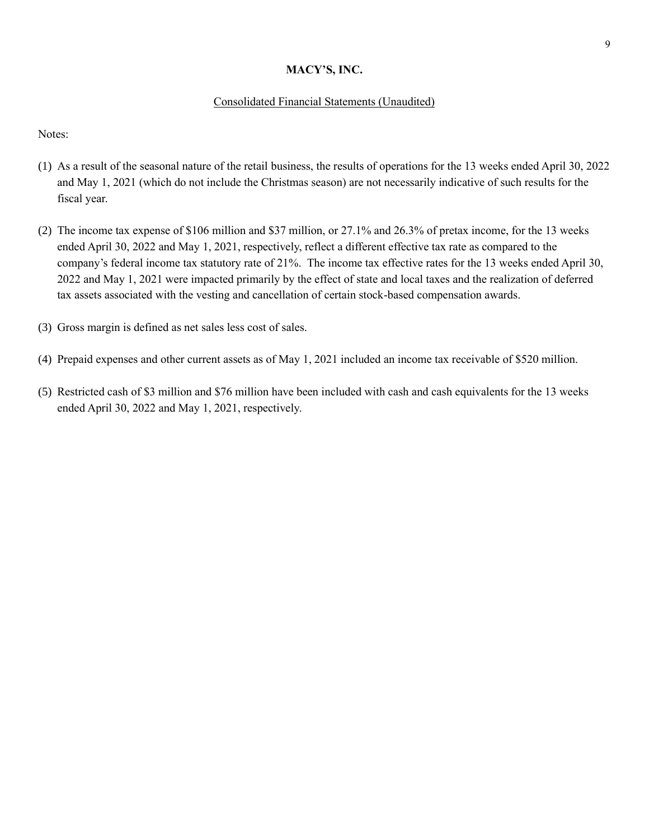# Consolidated Financial Statements (Unaudited)

Notes:

- (1) As a result of the seasonal nature of the retail business, the results of operations for the 13 weeks ended April 30, 2022 and May 1, 2021 (which do not include the Christmas season) are not necessarily indicative of such results for the fiscal year.
- (2) The income tax expense of \$106 million and \$37 million, or 27.1% and 26.3% of pretax income, for the 13 weeks ended April 30, 2022 and May 1, 2021, respectively, reflect a different effective tax rate as compared to the company's federal income tax statutory rate of 21%. The income tax effective rates for the 13 weeks ended April 30, 2022 and May 1, 2021 were impacted primarily by the effect of state and local taxes and the realization of deferred tax assets associated with the vesting and cancellation of certain stock-based compensation awards.
- (3) Gross margin is defined as net sales less cost of sales.
- (4) Prepaid expenses and other current assets as of May 1, 2021 included an income tax receivable of \$520 million.
- (5) Restricted cash of \$3 million and \$76 million have been included with cash and cash equivalents for the 13 weeks ended April 30, 2022 and May 1, 2021, respectively.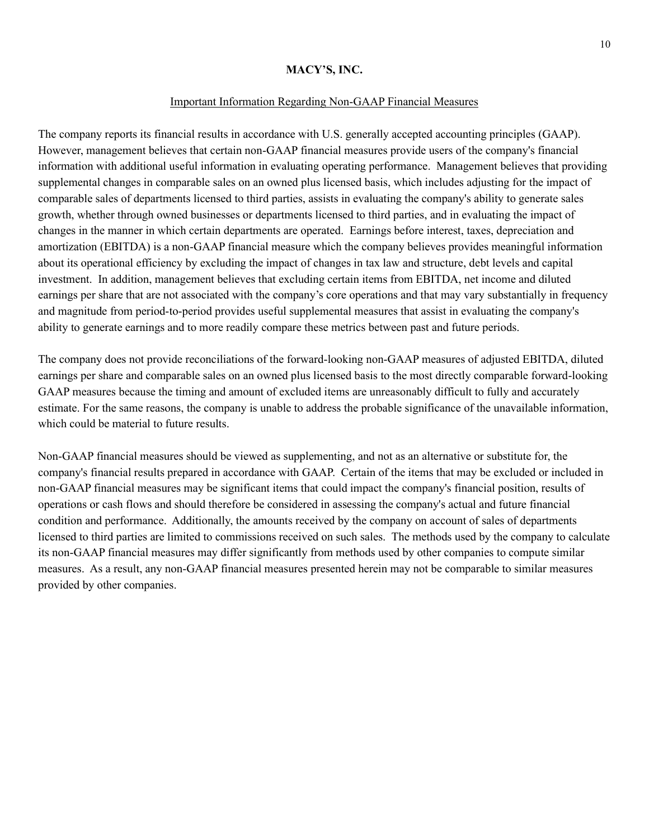#### Important Information Regarding Non-GAAP Financial Measures

The company reports its financial results in accordance with U.S. generally accepted accounting principles (GAAP). However, management believes that certain non-GAAP financial measures provide users of the company's financial information with additional useful information in evaluating operating performance. Management believes that providing supplemental changes in comparable sales on an owned plus licensed basis, which includes adjusting for the impact of comparable sales of departments licensed to third parties, assists in evaluating the company's ability to generate sales growth, whether through owned businesses or departments licensed to third parties, and in evaluating the impact of changes in the manner in which certain departments are operated. Earnings before interest, taxes, depreciation and amortization (EBITDA) is a non-GAAP financial measure which the company believes provides meaningful information about its operational efficiency by excluding the impact of changes in tax law and structure, debt levels and capital investment. In addition, management believes that excluding certain items from EBITDA, net income and diluted earnings per share that are not associated with the company's core operations and that may vary substantially in frequency and magnitude from period-to-period provides useful supplemental measures that assist in evaluating the company's ability to generate earnings and to more readily compare these metrics between past and future periods.

The company does not provide reconciliations of the forward-looking non-GAAP measures of adjusted EBITDA, diluted earnings per share and comparable sales on an owned plus licensed basis to the most directly comparable forward-looking GAAP measures because the timing and amount of excluded items are unreasonably difficult to fully and accurately estimate. For the same reasons, the company is unable to address the probable significance of the unavailable information, which could be material to future results.

Non-GAAP financial measures should be viewed as supplementing, and not as an alternative or substitute for, the company's financial results prepared in accordance with GAAP. Certain of the items that may be excluded or included in non-GAAP financial measures may be significant items that could impact the company's financial position, results of operations or cash flows and should therefore be considered in assessing the company's actual and future financial condition and performance. Additionally, the amounts received by the company on account of sales of departments licensed to third parties are limited to commissions received on such sales. The methods used by the company to calculate its non-GAAP financial measures may differ significantly from methods used by other companies to compute similar measures. As a result, any non-GAAP financial measures presented herein may not be comparable to similar measures provided by other companies.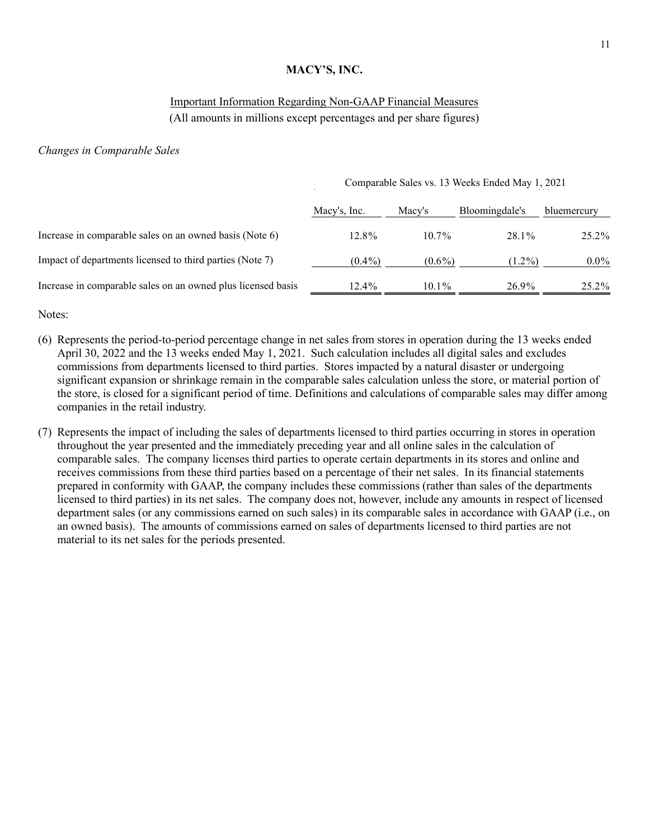## Important Information Regarding Non-GAAP Financial Measures (All amounts in millions except percentages and per share figures)

#### *Changes in Comparable Sales*

|                                                              | Comparable Sales vs. 13 Weeks Ended May 1, 2021 |           |                |             |  |  |
|--------------------------------------------------------------|-------------------------------------------------|-----------|----------------|-------------|--|--|
|                                                              | Macy's, Inc.                                    | Macy's    | Bloomingdale's | bluemercury |  |  |
| Increase in comparable sales on an owned basis (Note 6)      | $12.8\%$                                        | $10.7\%$  | 28.1%          | 25.2%       |  |  |
| Impact of departments licensed to third parties (Note 7)     | $(0.4\%)$                                       | $(0.6\%)$ | $(1.2\%)$      | $0.0\%$     |  |  |
| Increase in comparable sales on an owned plus licensed basis | 12.4%                                           | $10.1\%$  | 26.9%          | 25.2%       |  |  |

Notes:

- (6) Represents the period-to-period percentage change in net sales from stores in operation during the 13 weeks ended April 30, 2022 and the 13 weeks ended May 1, 2021. Such calculation includes all digital sales and excludes commissions from departments licensed to third parties. Stores impacted by a natural disaster or undergoing significant expansion or shrinkage remain in the comparable sales calculation unless the store, or material portion of the store, is closed for a significant period of time. Definitions and calculations of comparable sales may differ among companies in the retail industry.
- (7) Represents the impact of including the sales of departments licensed to third parties occurring in stores in operation throughout the year presented and the immediately preceding year and all online sales in the calculation of comparable sales. The company licenses third parties to operate certain departments in its stores and online and receives commissions from these third parties based on a percentage of their net sales. In its financial statements prepared in conformity with GAAP, the company includes these commissions (rather than sales of the departments licensed to third parties) in its net sales. The company does not, however, include any amounts in respect of licensed department sales (or any commissions earned on such sales) in its comparable sales in accordance with GAAP (i.e., on an owned basis). The amounts of commissions earned on sales of departments licensed to third parties are not material to its net sales for the periods presented.